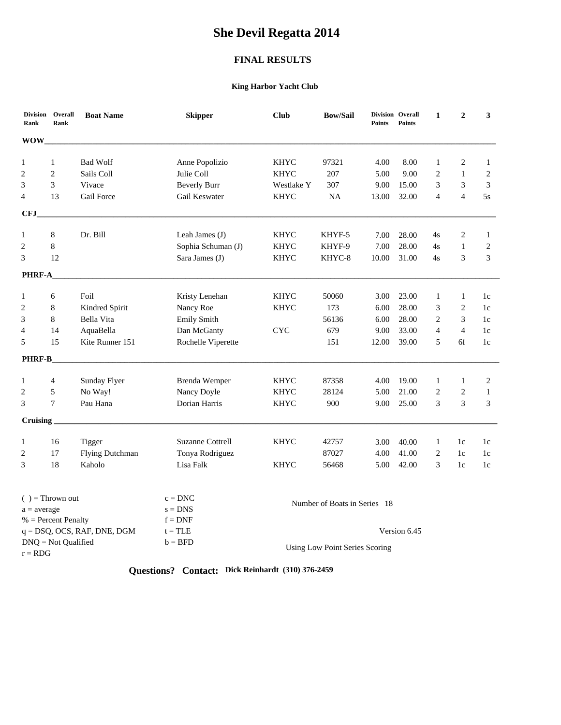# **She Devil Regatta 2014**

# **FINAL RESULTS**

## **King Harbor Yacht Club**

| Rank                                | Division Overall<br>Rank | <b>Boat Name</b>               | <b>Skipper</b>          | <b>Club</b>                    | <b>Bow/Sail</b> | <b>Points</b> | Division Overall<br><b>Points</b> | $\mathbf{1}$   | $\boldsymbol{2}$ | 3              |  |
|-------------------------------------|--------------------------|--------------------------------|-------------------------|--------------------------------|-----------------|---------------|-----------------------------------|----------------|------------------|----------------|--|
| <b>WOW</b>                          |                          |                                |                         |                                |                 |               |                                   |                |                  |                |  |
| $\mathbf{1}$                        | $\mathbf{1}$             | <b>Bad Wolf</b>                | Anne Popolizio          | <b>KHYC</b>                    | 97321           | 4.00          | 8.00                              | 1              | $\overline{c}$   | 1              |  |
| 2                                   | $\mathbf{2}$             | Sails Coll                     | Julie Coll              | <b>KHYC</b>                    | 207             | 5.00          | 9.00                              | 2              | 1                | $\sqrt{2}$     |  |
| 3                                   | 3                        | Vivace                         | <b>Beverly Burr</b>     | Westlake Y                     | 307             | 9.00          | 15.00                             | 3              | $\mathfrak{Z}$   | $\mathfrak{Z}$ |  |
| 4                                   | 13                       | Gail Force                     | Gail Keswater           | <b>KHYC</b>                    | $\rm NA$        | 13.00         | 32.00                             | $\overline{4}$ | $\overline{4}$   | 5s             |  |
| <b>CFJ</b>                          |                          |                                |                         |                                |                 |               |                                   |                |                  |                |  |
| $\mathbf{1}$                        | $\,8\,$                  | Dr. Bill                       | Leah James (J)          | <b>KHYC</b>                    | KHYF-5          | 7.00          | 28.00                             | 4s             | 2                | 1              |  |
| $\overline{2}$                      | $8\,$                    |                                | Sophia Schuman (J)      | <b>KHYC</b>                    | KHYF-9          | 7.00          | 28.00                             | 4s             | $\mathbf{1}$     | $\sqrt{2}$     |  |
| 3                                   | 12                       |                                | Sara James (J)          | <b>KHYC</b>                    | KHYC-8          | 10.00         | 31.00                             | 4s             | 3                | $\overline{3}$ |  |
| <b>PHRF-A</b>                       |                          |                                |                         |                                |                 |               |                                   |                |                  |                |  |
| 1                                   | 6                        | Foil                           | Kristy Lenehan          | <b>KHYC</b>                    | 50060           | 3.00          | 23.00                             | 1              | 1                | 1c             |  |
| 2                                   | 8                        | Kindred Spirit                 | Nancy Roe               | <b>KHYC</b>                    | 173             | 6.00          | 28.00                             | 3              | 2                | 1c             |  |
| 3                                   | 8                        | Bella Vita                     | <b>Emily Smith</b>      |                                | 56136           | 6.00          | 28.00                             | $\overline{2}$ | 3                | $1c$           |  |
| 4                                   | 14                       | AquaBella                      | Dan McGanty             | $\ensuremath{\text{CYC}}$      | 679             | 9.00          | 33.00                             | $\overline{4}$ | $\overline{4}$   | 1c             |  |
| 5                                   | 15                       | Kite Runner 151                | Rochelle Viperette      |                                | 151             | 12.00         | 39.00                             | 5              | 6f               | 1c             |  |
| PHRF-B                              |                          |                                |                         |                                |                 |               |                                   |                |                  |                |  |
| 1                                   | $\overline{4}$           | Sunday Flyer                   | Brenda Wemper           | <b>KHYC</b>                    | 87358           | 4.00          | 19.00                             | 1              | 1                | $\overline{2}$ |  |
| $\mathbf{2}$                        | 5                        | No Way!                        | Nancy Doyle             | <b>KHYC</b>                    | 28124           | 5.00          | 21.00                             | $\mathbf{2}$   | $\sqrt{2}$       | $\mathbf{1}$   |  |
| 3                                   | $\tau$                   | Pau Hana                       | Dorian Harris           | <b>KHYC</b>                    | 900             | 9.00          | 25.00                             | 3              | 3                | 3              |  |
| Cruising                            |                          |                                |                         |                                |                 |               |                                   |                |                  |                |  |
| 1                                   | 16                       | Tigger                         | <b>Suzanne Cottrell</b> | <b>KHYC</b>                    | 42757           | 3.00          | 40.00                             | 1              | 1c               | 1c             |  |
| $\overline{2}$                      | 17                       | Flying Dutchman                | Tonya Rodriguez         |                                | 87027           | 4.00          | 41.00                             | $\overline{2}$ | 1c               | 1c             |  |
| 3                                   | 18                       | Kaholo                         | Lisa Falk               | <b>KHYC</b>                    | 56468           | 5.00          | 42.00                             | 3              | 1c               | 1c             |  |
| $( )$ = Thrown out<br>$a = average$ |                          |                                | $c = DNC$<br>$s = DNS$  | Number of Boats in Series 18   |                 |               |                                   |                |                  |                |  |
|                                     | $%$ = Percent Penalty    | $q = DSQ$ , OCS, RAF, DNE, DGM | $f = DNF$<br>$t = TLE$  |                                |                 |               | Version 6.45                      |                |                  |                |  |
| $DNQ = Not$ Qualified<br>$r = RDG$  |                          |                                | $b = BFD$               | Using Low Point Series Scoring |                 |               |                                   |                |                  |                |  |

**Questions? Contact: Dick Reinhardt (310) 376-2459**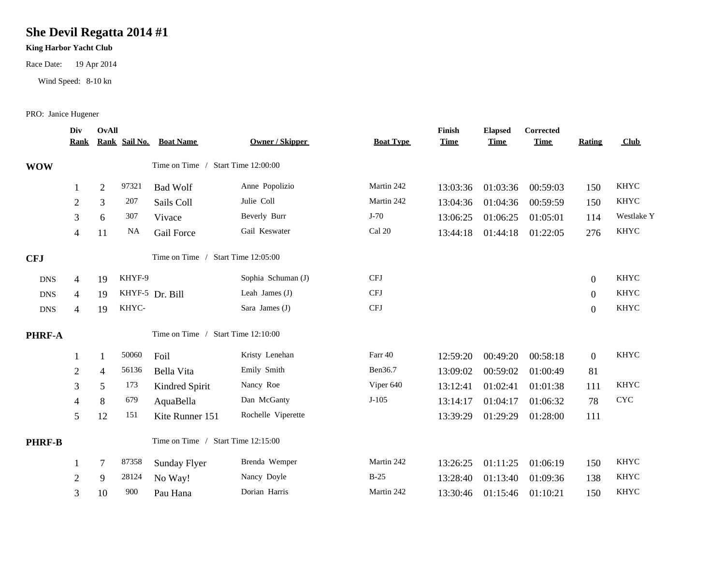# **She Devil Regatta 2014 #1**

## **King Harbor Yacht Club**

Race Date: 19 Apr 2014

Wind Speed: 8-10 kn

PRO: Janice Hugener

|               | Div<br><b>Rank</b> | <b>OvAll</b>   |        | Rank Sail No. Boat Name            | <b>Owner / Skipper</b> | <b>Boat Type</b> | Finish<br><b>Time</b> | <b>Elapsed</b><br><b>Time</b> | Corrected<br><u>Time</u> | <b>Rating</b> | Club        |
|---------------|--------------------|----------------|--------|------------------------------------|------------------------|------------------|-----------------------|-------------------------------|--------------------------|---------------|-------------|
| <b>WOW</b>    |                    |                |        | Time on Time / Start Time 12:00:00 |                        |                  |                       |                               |                          |               |             |
|               |                    | $\overline{2}$ | 97321  | <b>Bad Wolf</b>                    | Anne Popolizio         | Martin 242       | 13:03:36              | 01:03:36                      | 00:59:03                 | 150           | <b>KHYC</b> |
|               | $\overline{2}$     | 3              | 207    | Sails Coll                         | Julie Coll             | Martin 242       | 13:04:36              | 01:04:36                      | 00:59:59                 | 150           | <b>KHYC</b> |
|               | 3                  | 6              | 307    | Vivace                             | Beverly Burr           | $J-70$           | 13:06:25              | 01:06:25                      | 01:05:01                 | 114           | Westlake Y  |
|               | 4                  | 11             | NA     | <b>Gail Force</b>                  | Gail Keswater          | Cal 20           | 13:44:18              | 01:44:18                      | 01:22:05                 | 276           | KHYC        |
| <b>CFJ</b>    |                    |                |        | Time on Time / Start Time 12:05:00 |                        |                  |                       |                               |                          |               |             |
| <b>DNS</b>    | $\overline{4}$     | 19             | KHYF-9 |                                    | Sophia Schuman (J)     | <b>CFJ</b>       |                       |                               |                          | $\mathbf{0}$  | <b>KHYC</b> |
| <b>DNS</b>    | $\overline{4}$     | 19             |        | KHYF-5 Dr. Bill                    | Leah James (J)         | <b>CFJ</b>       |                       |                               |                          | $\mathbf{0}$  | <b>KHYC</b> |
| <b>DNS</b>    | 4                  | 19             | KHYC-  |                                    | Sara James (J)         | <b>CFJ</b>       |                       |                               |                          | $\mathbf{0}$  | <b>KHYC</b> |
| PHRF-A        |                    |                |        | Time on Time / Start Time 12:10:00 |                        |                  |                       |                               |                          |               |             |
|               |                    | $\mathbf{1}$   | 50060  | Foil                               | Kristy Lenehan         | Farr 40          | 12:59:20              | 00:49:20                      | 00:58:18                 | $\mathbf{0}$  | <b>KHYC</b> |
|               | $\overline{2}$     | $\overline{4}$ | 56136  | Bella Vita                         | Emily Smith            | Ben36.7          | 13:09:02              | 00:59:02                      | 01:00:49                 | 81            |             |
|               | 3                  | 5              | 173    | Kindred Spirit                     | Nancy Roe              | Viper 640        | 13:12:41              | 01:02:41                      | 01:01:38                 | 111           | <b>KHYC</b> |
|               | 4                  | 8              | 679    | AquaBella                          | Dan McGanty            | $J-105$          | 13:14:17              | 01:04:17                      | 01:06:32                 | 78            | CYC         |
|               | 5                  | 12             | 151    | Kite Runner 151                    | Rochelle Viperette     |                  | 13:39:29              | 01:29:29                      | 01:28:00                 | 111           |             |
| <b>PHRF-B</b> |                    |                |        | Time on Time / Start Time 12:15:00 |                        |                  |                       |                               |                          |               |             |
|               |                    | 7              | 87358  | Sunday Flyer                       | Brenda Wemper          | Martin 242       | 13:26:25              | 01:11:25                      | 01:06:19                 | 150           | <b>KHYC</b> |
|               | $\overline{2}$     | 9              | 28124  | No Way!                            | Nancy Doyle            | $B-25$           | 13:28:40              | 01:13:40                      | 01:09:36                 | 138           | <b>KHYC</b> |
|               | 3                  | 10             | 900    | Pau Hana                           | Dorian Harris          | Martin 242       | 13:30:46              | 01:15:46                      | 01:10:21                 | 150           | <b>KHYC</b> |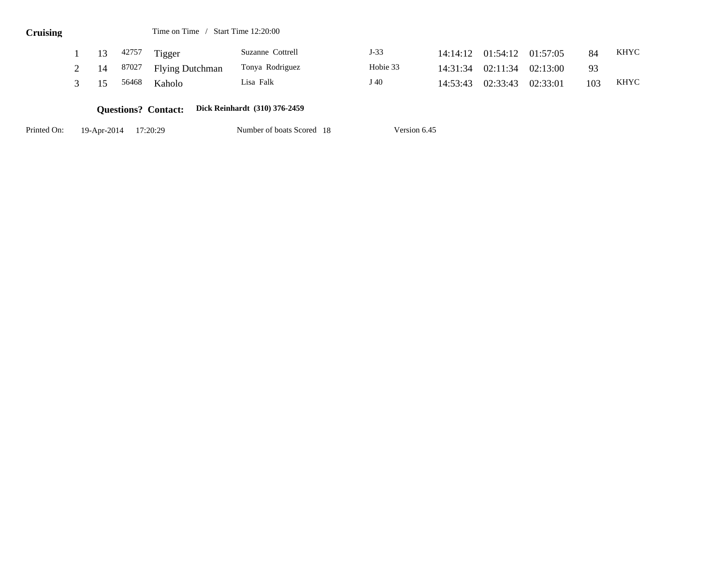## **Cruising** Time on Time / Start Time 12:20:00

|      | 42757 | Tigger                 | Suzanne Cottrell | $J-33$   | 14:14:12  01:54:12  01:57:05 | 84  | <b>KHYC</b> |
|------|-------|------------------------|------------------|----------|------------------------------|-----|-------------|
| - 14 | 87027 | <b>Flying Dutchman</b> | Tonya Rodriguez  | Hobie 33 | 14:31:34 02:11:34 02:13:00   | 93  |             |
| 15   | 56468 | Kaholo                 | Lisa Falk        | J 40     | 14:53:43 02:33:43 02:33:01   | 103 | KHYC        |

### **Questions? Contact: Dick Reinhardt (310) 376-2459**

Printed On: 19-Apr-2014 17:20:29

Number of boats Scored 18 Version 6.45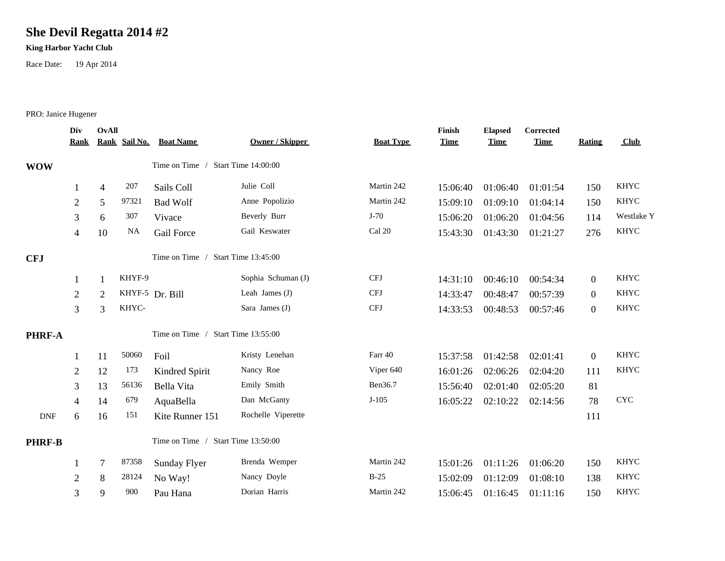# **She Devil Regatta 2014 #2**

## **King Harbor Yacht Club**

Race Date: 19 Apr 2014

PRO: Janice Hugener

|               | Div<br><b>Rank</b> | <b>OvAll</b>   |        | Rank Sail No. Boat Name            | <b>Owner / Skipper</b> | <b>Boat Type</b> | Finish<br><b>Time</b> | <b>Elapsed</b><br><b>Time</b> | Corrected<br><b>Time</b> | <b>Rating</b>  | Club        |
|---------------|--------------------|----------------|--------|------------------------------------|------------------------|------------------|-----------------------|-------------------------------|--------------------------|----------------|-------------|
| <b>WOW</b>    |                    |                |        | Time on Time / Start Time 14:00:00 |                        |                  |                       |                               |                          |                |             |
|               | 1                  | $\overline{4}$ | 207    | Sails Coll                         | Julie Coll             | Martin 242       | 15:06:40              | 01:06:40                      | 01:01:54                 | 150            | <b>KHYC</b> |
|               | $\overline{2}$     | 5              | 97321  | <b>Bad Wolf</b>                    | Anne Popolizio         | Martin 242       | 15:09:10              | 01:09:10                      | 01:04:14                 | 150            | <b>KHYC</b> |
|               | 3                  | 6              | 307    | Vivace                             | Beverly Burr           | $J-70$           | 15:06:20              | 01:06:20                      | 01:04:56                 | 114            | Westlake Y  |
|               | 4                  | 10             | NA     | <b>Gail Force</b>                  | Gail Keswater          | Cal 20           | 15:43:30              | 01:43:30                      | 01:21:27                 | 276            | <b>KHYC</b> |
| <b>CFJ</b>    |                    |                |        | Time on Time / Start Time 13:45:00 |                        |                  |                       |                               |                          |                |             |
|               | 1                  |                | KHYF-9 |                                    | Sophia Schuman (J)     | <b>CFJ</b>       | 14:31:10              | 00:46:10                      | 00:54:34                 | $\overline{0}$ | <b>KHYC</b> |
|               | $\sqrt{2}$         | $\overline{2}$ |        | KHYF-5 Dr. Bill                    | Leah James (J)         | <b>CFJ</b>       | 14:33:47              | 00:48:47                      | 00:57:39                 | $\overline{0}$ | <b>KHYC</b> |
|               | 3                  | 3              | KHYC-  |                                    | Sara James (J)         | CFJ              | 14:33:53              | 00:48:53                      | 00:57:46                 | $\overline{0}$ | <b>KHYC</b> |
| PHRF-A        |                    |                |        | Time on Time / Start Time 13:55:00 |                        |                  |                       |                               |                          |                |             |
|               | 1                  | 11             | 50060  | Foil                               | Kristy Lenehan         | Farr 40          | 15:37:58              | 01:42:58                      | 02:01:41                 | $\mathbf{0}$   | <b>KHYC</b> |
|               | 2                  | 12             | 173    | Kindred Spirit                     | Nancy Roe              | Viper 640        | 16:01:26              | 02:06:26                      | 02:04:20                 | 111            | <b>KHYC</b> |
|               | 3                  | 13             | 56136  | Bella Vita                         | Emily Smith            | Ben36.7          | 15:56:40              | 02:01:40                      | 02:05:20                 | 81             |             |
|               | $\overline{4}$     | 14             | 679    | AquaBella                          | Dan McGanty            | $J-105$          | 16:05:22              | 02:10:22                      | 02:14:56                 | 78             | <b>CYC</b>  |
| <b>DNF</b>    | 6                  | 16             | 151    | Kite Runner 151                    | Rochelle Viperette     |                  |                       |                               |                          | 111            |             |
| <b>PHRF-B</b> |                    |                |        | Time on Time / Start Time 13:50:00 |                        |                  |                       |                               |                          |                |             |
|               | 1                  | 7              | 87358  | Sunday Flyer                       | Brenda Wemper          | Martin 242       | 15:01:26              | 01:11:26                      | 01:06:20                 | 150            | <b>KHYC</b> |
|               | $\overline{2}$     | 8              | 28124  | No Way!                            | Nancy Doyle            | $B-25$           | 15:02:09              | 01:12:09                      | 01:08:10                 | 138            | <b>KHYC</b> |
|               | 3                  | 9              | 900    | Pau Hana                           | Dorian Harris          | Martin 242       | 15:06:45              | 01:16:45                      | 01:11:16                 | 150            | <b>KHYC</b> |